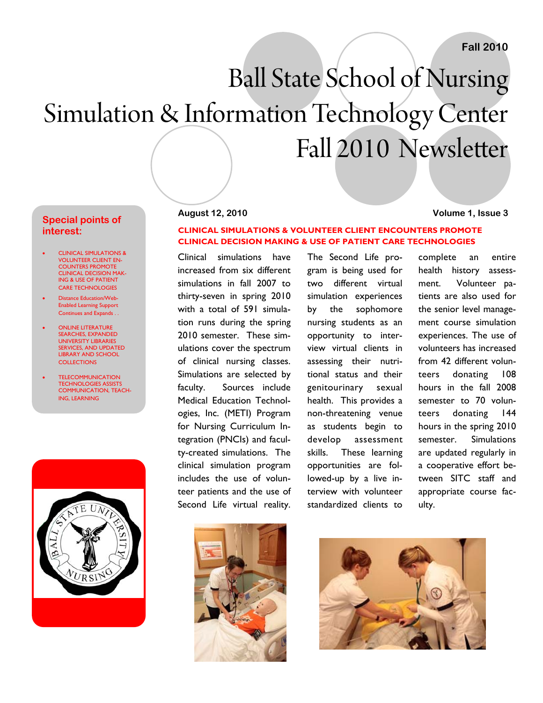# Ball State School of Nursing Simulation & Information Technology Center Fall 2010 Newsletter

#### **Special points of interest:**

- CLINICAL SIMULATIONS & VOLUNTEER CLIENT EN-COUNTERS PROMOTE CLINICAL DECISION MAK-ING & USE OF PATIENT CARE TECHNOLOGIES
- Distance Education/Web-Enabled Learning Support Continues and Expands . .
- ONLINE LITERATURE SEARCHES, EXPANDED UNIVERSITY LIBRARIES SERVICES, AND UPDATED LIBRARY AND SCHOOL **COLLECTIONS**
- TELECOMMUNICATION **TECHNOLOGIES ASSIST** COMMUNICATION, TEACH-ING, LEARNING



#### **August 12, 2010 Volume 1, Issue 3**

#### **CLINICAL SIMULATIONS & VOLUNTEER CLIENT ENCOUNTERS PROMOTE CLINICAL DECISION MAKING & USE OF PATIENT CARE TECHNOLOGIES**

Clinical simulations have increased from six different simulations in fall 2007 to thirty-seven in spring 2010 with a total of 591 simulation runs during the spring 2010 semester. These simulations cover the spectrum of clinical nursing classes. Simulations are selected by faculty. Sources include Medical Education Technologies, Inc. (METI) Program for Nursing Curriculum Integration (PNCIs) and faculty-created simulations. The clinical simulation program includes the use of volunteer patients and the use of Second Life virtual reality.

The Second Life program is being used for two different virtual simulation experiences by the sophomore nursing students as an opportunity to interview virtual clients in assessing their nutritional status and their genitourinary sexual health. This provides a non-threatening venue as students begin to develop assessment skills. These learning opportunities are followed-up by a live interview with volunteer standardized clients to



complete an entire health history assessment. Volunteer patients are also used for the senior level management course simulation experiences. The use of volunteers has increased from 42 different volunteers donating 108 hours in the fall 2008 semester to 70 volunteers donating 144 hours in the spring 2010 semester. Simulations are updated regularly in a cooperative effort between SITC staff and appropriate course faculty.

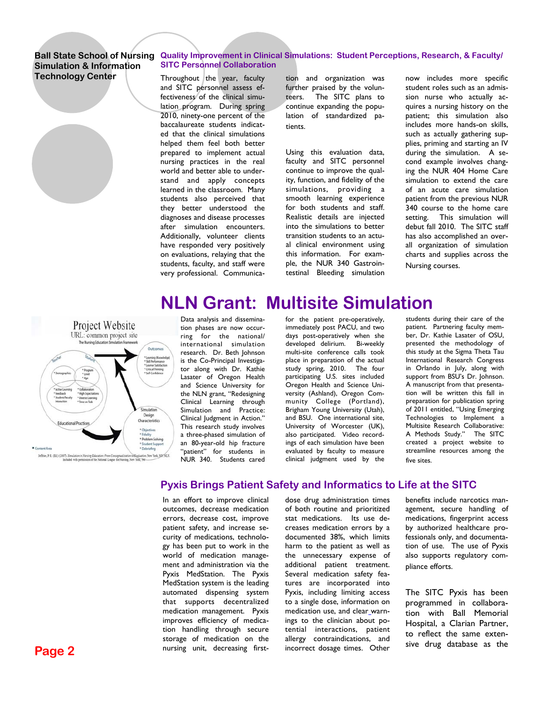### **Simulation & Information Technology Center**

#### **Ball State School of Nursing Quality Improvement in Clinical Simulations: Student Perceptions, Research, & Faculty/ SITC Personnel Collaboration**

Throughout the year, faculty and SITC personnel assess effectiveness of the clinical simulation program. During spring 2010, ninety-one percent of the baccalaureate students indicated that the clinical simulations helped them feel both better prepared to implement actual nursing practices in the real world and better able to understand and apply concepts learned in the classroom. Many students also perceived that they better understood the diagnoses and disease processes after simulation encounters. Additionally, volunteer clients have responded very positively on evaluations, relaying that the students, faculty, and staff were very professional. Communica-

tion and organization was further praised by the volunteers. The SITC plans to continue expanding the population of standardized patients.

Using this evaluation data, faculty and SITC personnel continue to improve the quality, function, and fidelity of the simulations, providing a smooth learning experience for both students and staff. Realistic details are injected into the simulations to better transition students to an actual clinical environment using this information. For example, the NUR 340 Gastrointestinal Bleeding simulation now includes more specific student roles such as an admission nurse who actually acquires a nursing history on the patient; this simulation also includes more hands-on skills, such as actually gathering supplies, priming and starting an IV during the simulation. A second example involves changing the NUR 404 Home Care simulation to extend the care of an acute care simulation patient from the previous NUR 340 course to the home care setting. This simulation will debut fall 2010. The SITC staff has also accomplished an overall organization of simulation charts and supplies across the Nursing courses.

# **NLN Grant: Multisite Simulation**



Data analysis and dissemination phases are now occurring for the national/ international simulation research. Dr. Beth Johnson is the Co-Principal Investigator along with Dr. Kathie Lasater of Oregon Health and Science University for the NLN grant, "Redesigning Clinical Learning through Simulation and Practice: Clinical Judgment in Action." This research study involves a three-phased simulation of an 80-year-old hip fracture "patient" for students in NUR 340. Students cared for the patient pre-operatively, immediately post PACU, and two days post-operatively when she developed delirium. Bi-weekly multi-site conference calls took place in preparation of the actual study spring, 2010. The four participating U.S. sites included Oregon Health and Science University (Ashland), Oregon Community College (Portland), Brigham Young University (Utah), and BSU. One international site, University of Worcester (UK), also participated. Video recordings of each simulation have been evaluated by faculty to measure clinical judgment used by the

students during their care of the patient. Partnering faculty member, Dr. Kathie Lasater of OSU, presented the methodology of this study at the Sigma Theta Tau International Research Congress in Orlando in July, along with support from BSU's Dr. Johnson. A manuscript from that presentation will be written this fall in preparation for publication spring of 2011 entitled, "Using Emerging Technologies to Implement a Multisite Research Collaborative: A Methods Study." The SITC created a project website to streamline resources among the five sites.

### **Pyxis Brings Patient Safety and Informatics to Life at the SITC**

In an effort to improve clinical outcomes, decrease medication errors, decrease cost, improve patient safety, and increase security of medications, technology has been put to work in the world of medication management and administration via the Pyxis MedStation. The Pyxis MedStation system is the leading automated dispensing system that supports decentralized medication management. Pyxis improves efficiency of medication handling through secure storage of medication on the nursing unit, decreasing firstdose drug administration times of both routine and prioritized stat medications. Its use decreases medication errors by a documented 38%, which limits harm to the patient as well as the unnecessary expense of additional patient treatment. Several medication safety features are incorporated into Pyxis, including limiting access to a single dose, information on medication use, and clear warnings to the clinician about potential interactions, patient allergy contraindications, and incorrect dosage times. Other

benefits include narcotics management, secure handling of medications, fingerprint access by authorized healthcare professionals only, and documentation of use. The use of Pyxis also supports regulatory compliance efforts.

The SITC Pyxis has been programmed in collaboration with Ball Memorial Hospital, a Clarian Partner, to reflect the same extensive drug database as the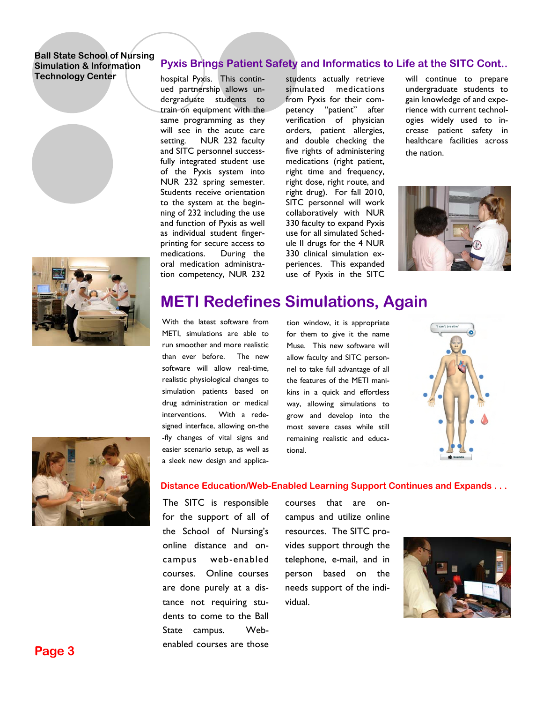





hospital Pyxis. This continued partnership allows undergraduate students to train on equipment with the same programming as they will see in the acute care setting. NUR 232 faculty and SITC personnel successfully integrated student use of the Pyxis system into NUR 232 spring semester. Students receive orientation to the system at the beginning of 232 including the use and function of Pyxis as well as individual student fingerprinting for secure access to medications. During the oral medication administration competency, NUR 232

students actually retrieve simulated medications from Pyxis for their competency "patient" after verification of physician orders, patient allergies, and double checking the five rights of administering medications (right patient, right time and frequency, right dose, right route, and right drug). For fall 2010, SITC personnel will work collaboratively with NUR 330 faculty to expand Pyxis use for all simulated Schedule II drugs for the 4 NUR 330 clinical simulation experiences. This expanded use of Pyxis in the SITC will continue to prepare undergraduate students to gain knowledge of and experience with current technologies widely used to increase patient safety in healthcare facilities across the nation.



### **METI Redefines Simulations, Again**

With the latest software from METI, simulations are able to run smoother and more realistic than ever before. The new software will allow real-time, realistic physiological changes to simulation patients based on drug administration or medical interventions. With a redesigned interface, allowing on-the -fly changes of vital signs and easier scenario setup, as well as a sleek new design and applica-

tion window, it is appropriate for them to give it the name Muse. This new software will allow faculty and SITC personnel to take full advantage of all the features of the METI manikins in a quick and effortless way, allowing simulations to grow and develop into the most severe cases while still remaining realistic and educational.





#### **Distance Education/Web-Enabled Learning Support Continues and Expands . . .**

The SITC is responsible for the support of all of the School of Nursing's online distance and oncampus web-enabled courses. Online courses are done purely at a distance not requiring students to come to the Ball State campus. Webenabled courses are those

courses that are oncampus and utilize online resources. The SITC provides support through the telephone, e-mail, and in person based on the needs support of the individual.

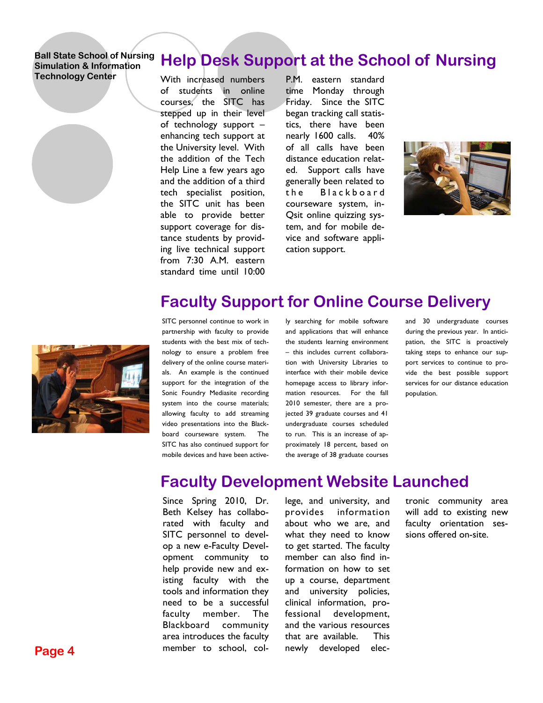### **Help Desk Support at the School of Nursing**

With increased numbers of students in online courses, the SITC has stepped up in their level of technology support – enhancing tech support at the University level. With the addition of the Tech Help Line a few years ago and the addition of a third tech specialist position, the SITC unit has been able to provide better support coverage for distance students by providing live technical support from 7:30 A.M. eastern standard time until 10:00

P.M. eastern standard time Monday through Friday. Since the SITC began tracking call statistics, there have been nearly 1600 calls. 40% of all calls have been distance education related. Support calls have generally been related to the Blackboard courseware system, in-Qsit online quizzing system, and for mobile device and software application support.





SITC personnel continue to work in partnership with faculty to provide students with the best mix of technology to ensure a problem free delivery of the online course materials. An example is the continued support for the integration of the Sonic Foundry Mediasite recording system into the course materials; allowing faculty to add streaming video presentations into the Blackboard courseware system. The

SITC has also continued support for mobile devices and have been actively searching for mobile software and applications that will enhance the students learning environment – this includes current collaboration with University Libraries to interface with their mobile device homepage access to library information resources. For the fall 2010 semester, there are a projected 39 graduate courses and 41 undergraduate courses scheduled to run. This is an increase of approximately 18 percent, based on the average of 38 graduate courses

**Faculty Support for Online Course Delivery** 

and 30 undergraduate courses during the previous year. In anticipation, the SITC is proactively taking steps to enhance our support services to continue to provide the best possible support services for our distance education population.

### **Faculty Development Website Launched**

Since Spring 2010, Dr. Beth Kelsey has collaborated with faculty and SITC personnel to develop a new e-Faculty Development community to help provide new and existing faculty with the tools and information they need to be a successful faculty member. The Blackboard community area introduces the faculty member to school, col-

lege, and university, and provides information about who we are, and what they need to know to get started. The faculty member can also find information on how to set up a course, department and university policies, clinical information, professional development, and the various resources that are available. This newly developed electronic community area will add to existing new faculty orientation sessions offered on-site.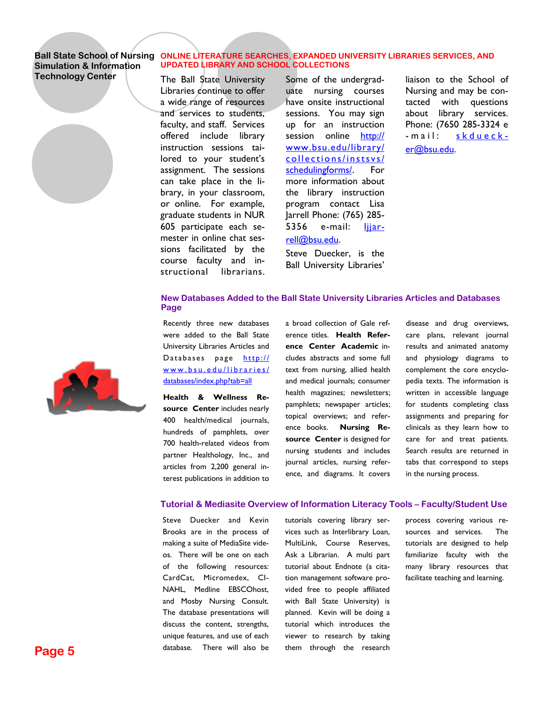### **Simulation & Information Technology Center**

#### Ball State School of Nursing ONLINE LITERATURE SEARCHES, EXPANDED UNIVERSITY LIBRARIES SERVICES, AND **UPDATED LIBRARY AND SCHOOL COLLECTIONS**

The Ball State University Libraries continue to offer a wide range of resources and services to students, faculty, and staff. Services offered include library instruction sessions tailored to your student's assignment. The sessions can take place in the library, in your classroom, or online. For example, graduate students in NUR 605 participate each semester in online chat sessions facilitated by the course faculty and instructional librarians.

Some of the undergraduate nursing courses have onsite instructional sessions. You may sign up for an instruction session online http:// www.bsu.edu/library/ collections/instsvs/ schedulingforms/. For more information about the library instruction program contact Lisa Jarrell Phone: (765) 285- 5356 e-mail: ljjarrell@bsu.edu.

Steve Duecker, is the Ball University Libraries'

liaison to the School of Nursing and may be contacted with questions about library services. Phone: (7650 285-3324 e -mail: skduecker@bsu.edu.



Recently three new databases were added to the Ball State University Libraries Articles and Databases page http:// www.bsu.edu/libraries/ databases/index.php?tab=all

**Health & Wellness Resource Center** includes nearly 400 health/medical journals, hundreds of pamphlets, over 700 health-related videos from partner Healthology, Inc., and articles from 2,200 general interest publications in addition to

a broad collection of Gale reference titles. **Health Reference Center Academic** includes abstracts and some full text from nursing, allied health and medical journals; consumer health magazines; newsletters; pamphlets; newspaper articles; topical overviews; and reference books. **Nursing Resource Center** is designed for nursing students and includes journal articles, nursing reference, and diagrams. It covers

disease and drug overviews, care plans, relevant journal results and animated anatomy and physiology diagrams to complement the core encyclopedia texts. The information is written in accessible language for students completing class assignments and preparing for clinicals as they learn how to care for and treat patients. Search results are returned in tabs that correspond to steps in the nursing process.

#### **Tutorial & Mediasite Overview of Information Literacy Tools – Faculty/Student Use**

Steve Duecker and Kevin Brooks are in the process of making a suite of MediaSite videos. There will be one on each of the following resources: CardCat, Micromedex, CI-NAHL, Medline EBSCOhost, and Mosby Nursing Consult. The database presentations will discuss the content, strengths, unique features, and use of each database. There will also be

tutorials covering library services such as Interlibrary Loan, MultiLink, Course Reserves, Ask a Librarian. A multi part tutorial about Endnote (a citation management software provided free to people affiliated with Ball State University) is planned. Kevin will be doing a tutorial which introduces the viewer to research by taking them through the research process covering various resources and services. The tutorials are designed to help familiarize faculty with the many library resources that facilitate teaching and learning.

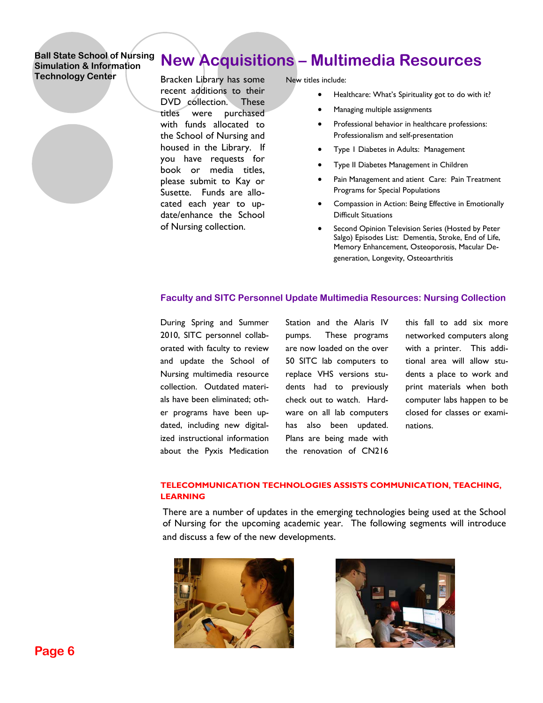## **New Acquisitions – Multimedia Resources**

Bracken Library has some recent additions to their DVD collection. These titles were purchased with funds allocated to the School of Nursing and housed in the Library. If you have requests for book or media titles, please submit to Kay or Susette. Funds are allocated each year to update/enhance the School of Nursing collection.

New titles include:

- Healthcare: What's Spirituality got to do with it?
- Managing multiple assignments
- Professional behavior in healthcare professions: Professionalism and self-presentation
- Type 1 Diabetes in Adults: Management
- Type II Diabetes Management in Children
- Pain Management and atient Care: Pain Treatment Programs for Special Populations
- Compassion in Action: Being Effective in Emotionally Difficult Situations
- Second Opinion Television Series (Hosted by Peter Salgo) Episodes List: Dementia, Stroke, End of Life, Memory Enhancement, Osteoporosis, Macular Degeneration, Longevity, Osteoarthritis

#### **Faculty and SITC Personnel Update Multimedia Resources: Nursing Collection**

During Spring and Summer 2010, SITC personnel collaborated with faculty to review and update the School of Nursing multimedia resource collection. Outdated materials have been eliminated; other programs have been updated, including new digitalized instructional information about the Pyxis Medication

Station and the Alaris IV pumps. These programs are now loaded on the over 50 SITC lab computers to replace VHS versions students had to previously check out to watch. Hardware on all lab computers has also been updated. Plans are being made with the renovation of CN216

this fall to add six more networked computers along with a printer. This additional area will allow students a place to work and print materials when both computer labs happen to be closed for classes or examinations.

#### **TELECOMMUNICATION TECHNOLOGIES ASSISTS COMMUNICATION, TEACHING, LEARNING**

There are a number of updates in the emerging technologies being used at the School of Nursing for the upcoming academic year. The following segments will introduce and discuss a few of the new developments.



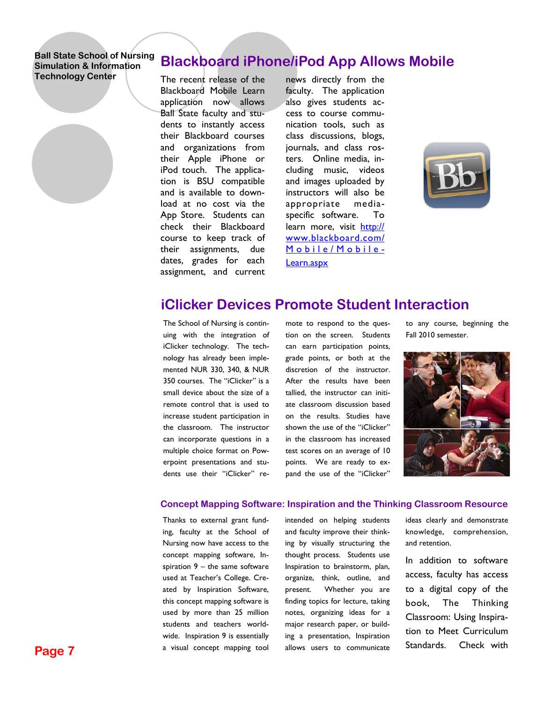### **Blackboard iPhone/iPod App Allows Mobile**

The recent release of the Blackboard Mobile Learn application now allows Ball State faculty and students to instantly access their Blackboard courses and organizations from their Apple iPhone or iPod touch. The application is BSU compatible and is available to download at no cost via the App Store. Students can check their Blackboard course to keep track of their assignments, due dates, grades for each assignment, and current

news directly from the faculty. The application also gives students access to course communication tools, such as class discussions, blogs, journals, and class rosters. Online media, including music, videos and images uploaded by instructors will also be appropriate mediaspecific software. To learn more, visit http:// www.blackboard.com/ Mobile/Mobile-Learn.aspx



### **iClicker Devices Promote Student Interaction**

The School of Nursing is continuing with the integration of iClicker technology. The technology has already been implemented NUR 330, 340, & NUR 350 courses. The "iClicker" is a small device about the size of a remote control that is used to increase student participation in the classroom. The instructor can incorporate questions in a multiple choice format on Powerpoint presentations and students use their "iClicker" remote to respond to the question on the screen. Students can earn participation points, grade points, or both at the discretion of the instructor. After the results have been tallied, the instructor can initiate classroom discussion based on the results. Studies have shown the use of the "iClicker" in the classroom has increased test scores on an average of 10 points. We are ready to expand the use of the "iClicker"

to any course, beginning the Fall 2010 semester.



#### **Concept Mapping Software: Inspiration and the Thinking Classroom Resource**

Thanks to external grant funding, faculty at the School of Nursing now have access to the concept mapping software, Inspiration  $9 -$  the same software used at Teacher's College. Created by Inspiration Software, this concept mapping software is used by more than 25 million students and teachers worldwide. Inspiration 9 is essentially a visual concept mapping tool intended on helping students and faculty improve their thinking by visually structuring the thought process. Students use Inspiration to brainstorm, plan, organize, think, outline, and present. Whether you are finding topics for lecture, taking notes, organizing ideas for a major research paper, or building a presentation, Inspiration allows users to communicate ideas clearly and demonstrate knowledge, comprehension, and retention.

In addition to software access, faculty has access to a digital copy of the book, The Thinking Classroom: Using Inspiration to Meet Curriculum Standards. Check with